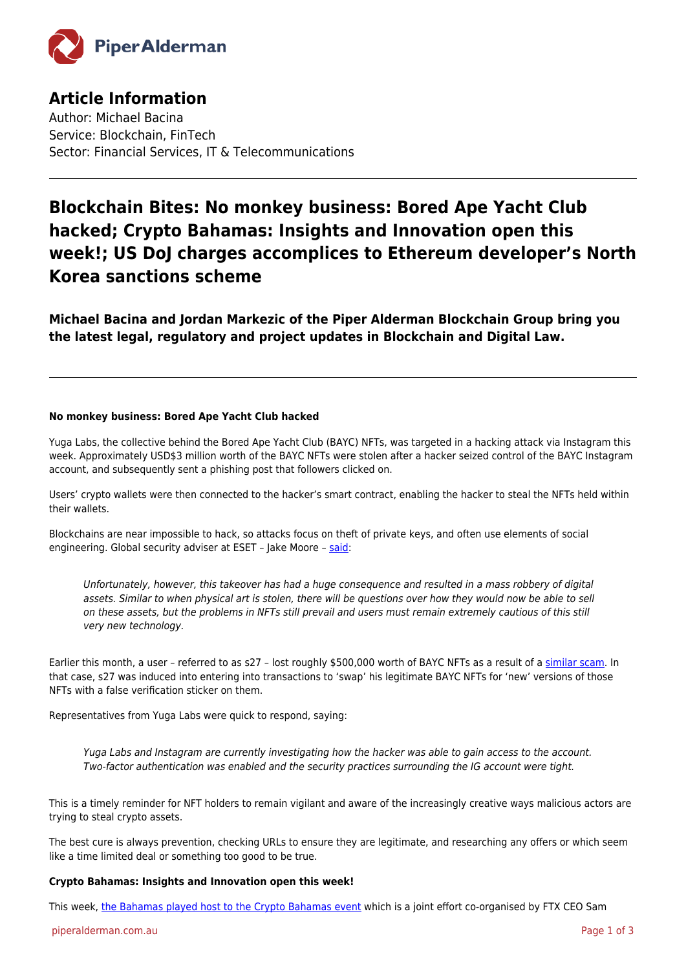

# **Article Information**

Author: Michael Bacina Service: Blockchain, FinTech Sector: Financial Services, IT & Telecommunications

# **Blockchain Bites: No monkey business: Bored Ape Yacht Club hacked; Crypto Bahamas: Insights and Innovation open this week!; US DoJ charges accomplices to Ethereum developer's North Korea sanctions scheme**

**Michael Bacina and Jordan Markezic of the Piper Alderman Blockchain Group bring you the latest legal, regulatory and project updates in Blockchain and Digital Law.**

## **No monkey business: Bored Ape Yacht Club hacked**

Yuga Labs, the collective behind the Bored Ape Yacht Club (BAYC) NFTs, was targeted in a hacking attack via Instagram this week. Approximately USD\$3 million worth of the BAYC NFTs were stolen after a hacker seized control of the BAYC Instagram account, and subsequently sent a phishing post that followers clicked on.

Users' crypto wallets were then connected to the hacker's smart contract, enabling the hacker to steal the NFTs held within their wallets.

Blockchains are near impossible to hack, so attacks focus on theft of private keys, and often use elements of social engineering. Global security adviser at ESET - Jake Moore - [said](https://www.theguardian.com/technology/2022/apr/26/bored-ape-yacht-club-nft-hack-theft-art-simian-oblivion):

Unfortunately, however, this takeover has had a huge consequence and resulted in a mass robbery of digital assets. Similar to when physical art is stolen, there will be questions over how they would now be able to sell on these assets, but the problems in NFTs still prevail and users must remain extremely cautious of this still very new technology.

Earlier this month, a user - referred to as s27 - lost roughly \$500,000 worth of BAYC NFTs as a result of a [similar scam.](https://twitter.com/0xQuit/status/1511198290565509120) In that case, s27 was induced into entering into transactions to 'swap' his legitimate BAYC NFTs for 'new' versions of those NFTs with a false verification sticker on them.

Representatives from Yuga Labs were quick to respond, saying:

Yuga Labs and Instagram are currently investigating how the hacker was able to gain access to the account. Two-factor authentication was enabled and the security practices surrounding the IG account were tight.

This is a timely reminder for NFT holders to remain vigilant and aware of the increasingly creative ways malicious actors are trying to steal crypto assets.

The best cure is always prevention, checking URLs to ensure they are legitimate, and researching any offers or which seem like a time limited deal or something too good to be true.

## **Crypto Bahamas: Insights and Innovation open this week!**

This week, [the Bahamas played host to the Crypto Bahamas event](https://www.forbes.com/sites/ninabambysheva/2022/04/27/crypto-bahamas-kicks-off-as-country-solidifies-plans-to-become-leading-digital-asset-hub-amidst-market-uncertainty/?sh=5a8c6a225af0) which is a joint effort co-organised by FTX CEO Sam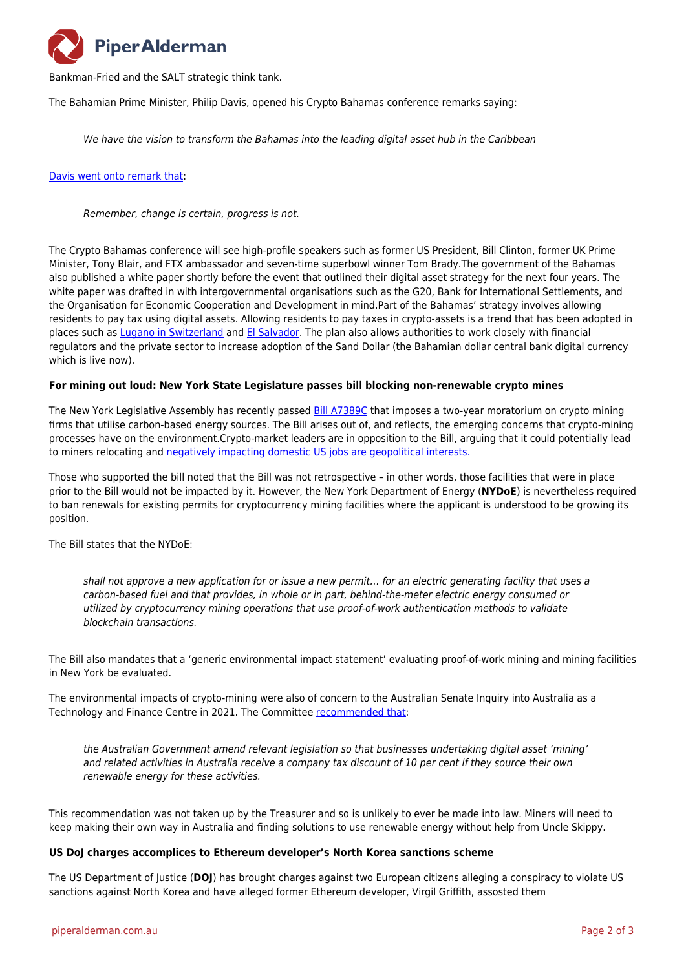

Bankman-Fried and the SALT strategic think tank.

The Bahamian Prime Minister, Philip Davis, opened his Crypto Bahamas conference remarks saying:

We have the vision to transform the Bahamas into the leading digital asset hub in the Caribbean

#### [Davis went onto remark that](https://twitter.com/MikeBacina/status/1519309343468015617?cxt=HHwWgsC-lYvz1ZUqAAAA):

Remember, change is certain, progress is not.

The Crypto Bahamas conference will see high-profile speakers such as former US President, Bill Clinton, former UK Prime Minister, Tony Blair, and FTX ambassador and seven-time superbowl winner Tom Brady.The government of the Bahamas also published a white paper shortly before the event that outlined their digital asset strategy for the next four years. The white paper was drafted in with intergovernmental organisations such as the G20, Bank for International Settlements, and the Organisation for Economic Cooperation and Development in mind.Part of the Bahamas' strategy involves allowing residents to pay tax using digital assets. Allowing residents to pay taxes in crypto-assets is a trend that has been adopted in places such as [Lugano in Switzerland](https://www.bitsofblocks.io/post/swiss-city-makes-crypto-legal-tender) and [El Salvador.](https://www.abc.net.au/news/2021-09-07/el-salvador-adopts-bitcoin-crypocurrency-as-legal-tender/100441472) The plan also allows authorities to work closely with financial regulators and the private sector to increase adoption of the Sand Dollar (the Bahamian dollar central bank digital currency which is live now).

#### **For mining out loud: New York State Legislature passes bill blocking non-renewable crypto mines**

The New York Legislative Assembly has recently passed [Bill A7389C](https://www.nysenate.gov/legislation/bills/2021/A7389) that imposes a two-year moratorium on crypto mining firms that utilise carbon-based energy sources. The Bill arises out of, and reflects, the emerging concerns that crypto-mining processes have on the environment.Crypto-market leaders are in opposition to the Bill, arguing that it could potentially lead to miners relocating and [negatively impacting domestic US jobs are geopolitical interests.](https://www.coindesk.com/policy/2022/04/27/new-york-state-assembly-passes-bill-blocking-new-cryto-mines-that-use-non-renewable-power/)

Those who supported the bill noted that the Bill was not retrospective – in other words, those facilities that were in place prior to the Bill would not be impacted by it. However, the New York Department of Energy (**NYDoE**) is nevertheless required to ban renewals for existing permits for cryptocurrency mining facilities where the applicant is understood to be growing its position.

The Bill states that the NYDoE:

shall not approve a new application for or issue a new permit… for an electric generating facility that uses a carbon-based fuel and that provides, in whole or in part, behind-the-meter electric energy consumed or utilized by cryptocurrency mining operations that use proof-of-work authentication methods to validate blockchain transactions.

The Bill also mandates that a 'generic environmental impact statement' evaluating proof-of-work mining and mining facilities in New York be evaluated.

The environmental impacts of crypto-mining were also of concern to the Australian Senate Inquiry into Australia as a Technology and Finance Centre in 2021. The Committee [recommended that](https://www.bitsofblocks.io/post/australian-senate-crypto-report-recommendation-7-the-tax-cut-for-miners-which-didn-t-make-it):

the Australian Government amend relevant legislation so that businesses undertaking digital asset 'mining' and related activities in Australia receive a company tax discount of 10 per cent if they source their own renewable energy for these activities.

This recommendation was not taken up by the Treasurer and so is unlikely to ever be made into law. Miners will need to keep making their own way in Australia and finding solutions to use renewable energy without help from Uncle Skippy.

#### **US DoJ charges accomplices to Ethereum developer's North Korea sanctions scheme**

The US Department of Justice (**DOJ**) has brought charges against two European citizens alleging a conspiracy to violate US sanctions against North Korea and have alleged former Ethereum developer, Virgil Griffith, assosted them